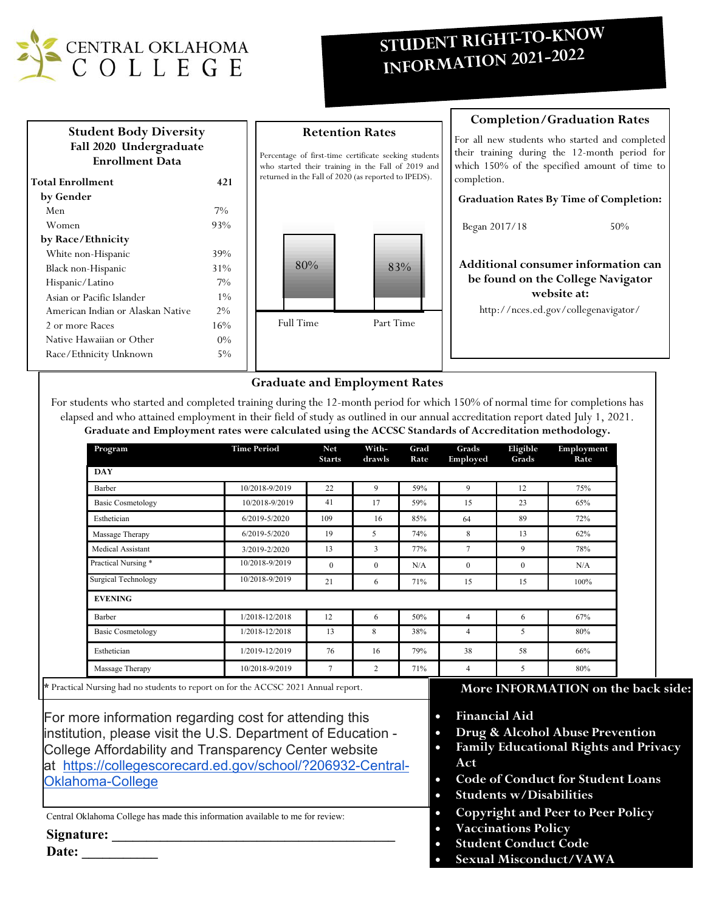

# **STUDENT RIGHT-TO-KNOW**<br>INFORMATION 2021-2022



# **Graduate and Employment Rates**

For students who started and completed training during the 12-month period for which 150% of normal time for completions has elapsed and who attained employment in their field of study as outlined in our annual accreditation report dated July 1, 2021. **Graduate and Employment rates were calculated using the ACCSC Standards of Accreditation methodology.**

| Program                    | <b>Time Period</b> | <b>Net</b><br><b>Starts</b> | With-<br>drawls | Grad<br>Rate | Grads<br>Employed | Eligible<br>Grads | Employment<br>Rate |
|----------------------------|--------------------|-----------------------------|-----------------|--------------|-------------------|-------------------|--------------------|
| <b>DAY</b>                 |                    |                             |                 |              |                   |                   |                    |
| Barber                     | 10/2018-9/2019     | 22                          | 9               | 59%          | 9                 | 12                | 75%                |
| <b>Basic Cosmetology</b>   | 10/2018-9/2019     | 41                          | 17              | 59%          | 15                | 23                | 65%                |
| Esthetician                | 6/2019-5/2020      | 109                         | 16              | 85%          | 64                | 89                | 72%                |
| Massage Therapy            | 6/2019-5/2020      | 19                          | 5               | 74%          | 8                 | 13                | 62%                |
| Medical Assistant          | 3/2019-2/2020      | 13                          | 3               | 77%          | 7                 | 9                 | 78%                |
| Practical Nursing *        | 10/2018-9/2019     | $\mathbf{0}$                | $\mathbf{0}$    | N/A          | $\mathbf{0}$      | $\mathbf{0}$      | N/A                |
| <b>Surgical Technology</b> | 10/2018-9/2019     | 21                          | 6               | 71%          | 15                | 15                | 100%               |
| <b>EVENING</b>             |                    |                             |                 |              |                   |                   |                    |
| Barber                     | 1/2018-12/2018     | 12                          | 6               | 50%          | 4                 | 6                 | 67%                |
| <b>Basic Cosmetology</b>   | 1/2018-12/2018     | 13                          | 8               | 38%          | $\overline{4}$    | 5                 | 80%                |
| Esthetician                | 1/2019-12/2019     | 76                          | 16              | 79%          | 38                | 58                | 66%                |
| Massage Therapy            | 10/2018-9/2019     | 7                           | $\overline{c}$  | 71%          | $\overline{4}$    | 5                 | 80%                |

For more information regarding cost for attending this institution, please visit the U.S. Department of Education - College Affordability and Transparency Center website at [https://collegescorecard.ed.gov/school/?206932-Central-](https://collegescorecard.ed.gov/school/?206932-Central-Oklahoma-College)[Oklahoma-College](https://collegescorecard.ed.gov/school/?206932-Central-Oklahoma-College)

Central Oklahoma College has made this information available to me for review:

**Signature: \_\_\_\_\_\_\_\_\_\_\_\_\_\_\_\_\_\_\_\_\_\_\_\_\_\_\_\_\_\_\_\_\_\_\_\_\_\_\_\_\_** 

**Date: \_\_\_\_\_\_\_\_\_\_\_** 

# **back side:**

- **Financial Aid**
- **Drug & Alcohol Abuse Prevention**
- **Family Educational Rights and Privacy Act**
- **Code of Conduct for Student Loans**
- **Students w/Disabilities**
- **Copyright and Peer to Peer Policy**
- **Vaccinations Policy**
- **Student Conduct Code**
- **Sexual Misconduct/VAWA**